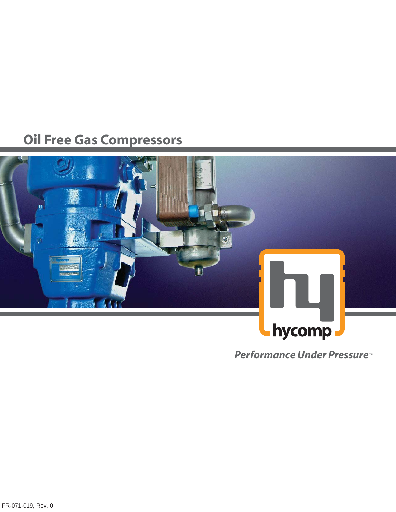# **Oil Free Gas Compressors**



**Performance Under Pressure**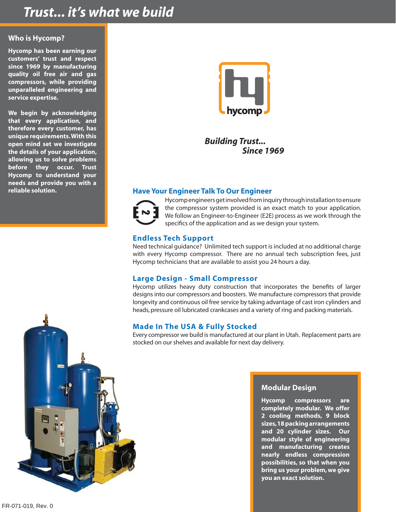## *Trust... it's what we build*

### **Who is Hycomp?**

**Hycomp has been earning our customers' trust and respect since 1969 by manufacturing quality oil free air and gas compressors, while providing unparalleled engineering and service expertise.** 

**We begin by acknowledging that every application, and therefore every customer, has unique requirements. With this open mind set we investigate the details of your application, allowing us to solve problems before they occur. Trust Hycomp to understand your needs and provide you with a reliable solution.**



*Building Trust... Since 1969*

## **Have Your Engineer Talk To Our Engineer**



Hycomp engineers get involved from inquiry through installation to ensure the compressor system provided is an exact match to your application. We follow an Engineer-to-Engineer (E2E) process as we work through the specifics of the application and as we design your system.

## **Endless Tech Support**

Need technical guidance? Unlimited tech support is included at no additional charge with every Hycomp compressor. There are no annual tech subscription fees, just Hycomp technicians that are available to assist you 24 hours a day.

## **Large Design - Small Compressor**

Hycomp utilizes heavy duty construction that incorporates the benefits of larger designs into our compressors and boosters. We manufacture compressors that provide longevity and continuous oil free service by taking advantage of cast iron cylinders and heads, pressure oil lubricated crankcases and a variety of ring and packing materials.

## **Made In The USA & Fully Stocked**

Every compressor we build is manufactured at our plant in Utah. Replacement parts are stocked on our shelves and available for next day delivery.

![](_page_1_Picture_15.jpeg)

### **Modular Design**

**Hycomp compressors are completely modular. We offer 2 cooling methods, 9 block sizes, 18 packing arrangements and 20 cylinder sizes. Our modular style of engineering and manufacturing creates nearly endless compression possibilities, so that when you bring us your problem, we give you an exact solution.**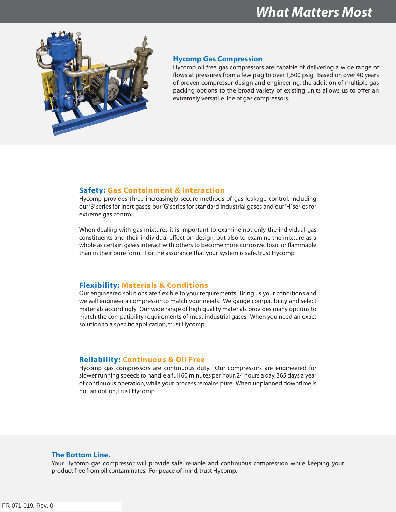![](_page_2_Picture_1.jpeg)

#### **Hycomp Gas Compression**

Hycomp oil free gas compressors are capable of delivering a wide range of flows at pressures from a few psig to over 1,500 psig. Based on over 40 years of proven compressor design and engineering, the addition of multiple gas packing options to the broad variety of existing units allows us to offer an extremely versatile line of gas compressors.

#### **Safety: Gas Containment & Interaction**

Hycomp provides three increasingly secure methods of gas leakage control, including our 'B' series for inert gases, our 'G' series for standard industrial gases and our 'H' series for extreme gas control.

When dealing with gas mixtures it is important to examine not only the individual gas constituents and their individual effect on design, but also to examine the mixture as a whole as certain gases interact with others to become more corrosive, toxic or flammable than in their pure form. For the assurance that your system is safe, trust Hycomp

#### **Flexibility: Materials & Conditions**

Our engineered solutions are flexible to your requirements. Bring us your conditions and we will engineer a compressor to match your needs. We gauge compatibility and select materials accordingly. Our wide range of high quality materials provides many options to match the compatibility requirements of most industrial gases. When you need an exact solution to a specific application, trust Hycomp.

#### **Reliability: Continuous & Oil Free**

Hycomp gas compressors are continuous duty. Our compressors are engineered for slower running speeds to handle a full 60 minutes per hour, 24 hours a day, 365 days a year of continuous operation, while your process remains pure. When unplanned downtime is not an option, trust Hycomp.

### **The Bottom Line.**

Your Hycomp gas compressor will provide safe, reliable and continuous compression while keeping your product free from oil contaminates. For peace of mind, trust Hycomp.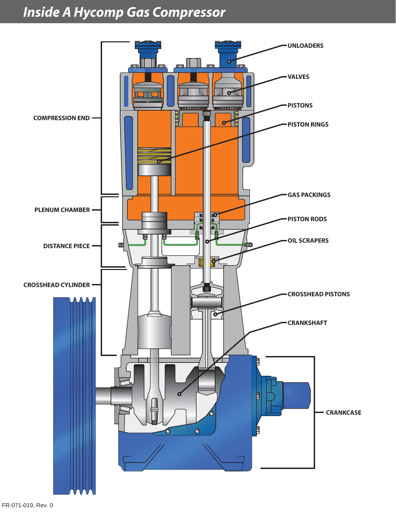## *Inside A Hycomp Gas Compressor*

![](_page_3_Figure_1.jpeg)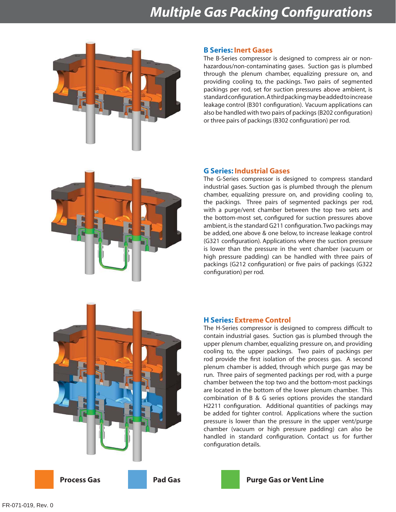## *Multiple Gas Packing Configurations*

![](_page_4_Picture_1.jpeg)

#### **B Series: Inert Gases**

The B-Series compressor is designed to compress air or nonhazardous/non-contaminating gases. Suction gas is plumbed through the plenum chamber, equalizing pressure on, and providing cooling to, the packings. Two pairs of segmented packings per rod, set for suction pressures above ambient, is standard configuration. A third packing may be added to increase leakage control (B301 configuration). Vacuum applications can also be handled with two pairs of packings (B202 configuration) or three pairs of packings (B302 configuration) per rod.

![](_page_4_Picture_4.jpeg)

### **G Series: Industrial Gases**

The G-Series compressor is designed to compress standard industrial gases. Suction gas is plumbed through the plenum chamber, equalizing pressure on, and providing cooling to, the packings. Three pairs of segmented packings per rod, with a purge/vent chamber between the top two sets and the bottom-most set, configured for suction pressures above ambient, is the standard G211 configuration. Two packings may be added, one above & one below, to increase leakage control (G321 configuration). Applications where the suction pressure is lower than the pressure in the vent chamber (vacuum or high pressure padding) can be handled with three pairs of packings (G212 configuration) or five pairs of packings (G322 configuration) per rod.

![](_page_4_Picture_7.jpeg)

### **H Series: Extreme Control**

The H-Series compressor is designed to compress difficult to contain industrial gases. Suction gas is plumbed through the upper plenum chamber, equalizing pressure on, and providing cooling to, the upper packings. Two pairs of packings per rod provide the first isolation of the process gas. A second plenum chamber is added, through which purge gas may be run. Three pairs of segmented packings per rod, with a purge chamber between the top two and the bottom-most packings are located in the bottom of the lower plenum chamber. This combination of B & G series options provides the standard H2211 configuration. Additional quantities of packings may be added for tighter control. Applications where the suction pressure is lower than the pressure in the upper vent/purge chamber (vacuum or high pressure padding) can also be handled in standard configuration. Contact us for further configuration details.

![](_page_4_Picture_11.jpeg)

![](_page_4_Picture_12.jpeg)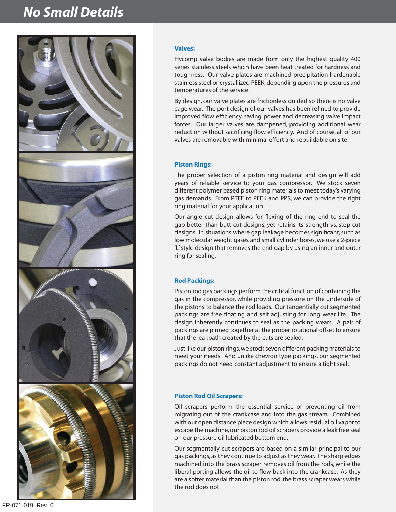## *No Small Details*

![](_page_5_Picture_1.jpeg)

#### **Valves:**

Hycomp valve bodies are made from only the highest quality 400 series stainless steels which have been heat treated for hardness and toughness. Our valve plates are machined precipitation hardenable stainless steel or crystallized PEEK, depending upon the pressures and temperatures of the service.

By design, our valve plates are frictionless guided so there is no valve cage wear. The port design of our valves has been refined to provide improved flow efficiency, saving power and decreasing valve impact forces. Our larger valves are dampened, providing additional wear reduction without sacrificing flow efficiency. And of course, all of our valves are removable with minimal effort and rebuildable on site.

#### **Piston Rings:**

The proper selection of a piston ring material and design will add years of reliable service to your gas compressor. We stock seven different polymer based piston ring materials to meet today's varying gas demands. From PTFE to PEEK and PPS, we can provide the right ring material for your application.

Our angle cut design allows for flexing of the ring end to seal the gap better than butt cut designs, yet retains its strength vs. step cut designs. In situations where gap leakage becomes significant, such as low molecular weight gases and small cylinder bores, we use a 2-piece 'L' style design that removes the end gap by using an inner and outer ring for sealing.

#### **Rod Packings:**

Piston rod gas packings perform the critical function of containing the gas in the compressor, while providing pressure on the underside of the pistons to balance the rod loads. Our tangentially cut segmented packings are free floating and self adjusting for long wear life. The design inherently continues to seal as the packing wears. A pair of packings are pinned together at the proper rotational offset to ensure that the leakpath created by the cuts are sealed.

Just like our piston rings, we stock seven different packing materials to meet your needs. And unlike chevron type packings, our segmented packings do not need constant adjustment to ensure a tight seal.

#### **Piston Rod Oil Scrapers:**

Oil scrapers perform the essential service of preventing oil from migrating out of the crankcase and into the gas stream. Combined with our open distance piece design which allows residual oil vapor to escape the machine, our piston rod oil scrapers provide a leak free seal on our pressure oil lubricated bottom end.

Our segmentally cut scrapers are based on a similar principal to our gas packings, as they continue to adjust as they wear. The sharp edges machined into the brass scraper removes oil from the rods, while the liberal porting allows the oil to flow back into the crankcase. As they are a softer material than the piston rod, the brass scraper wears while the rod does not.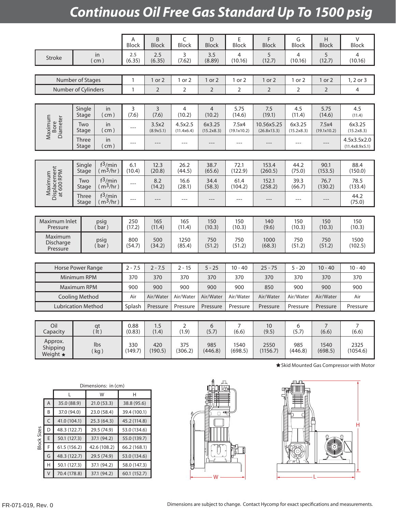# *Continuous Oil Free Gas Standard Up To 1500 psig*

|                                         |                       |                                    | Α<br><b>Block</b> | $\sf B$<br><b>Block</b> | C<br>Block               | D<br><b>Block</b>         | Ε<br>Block           | F<br><b>Block</b>         | G<br>Block           | H<br><b>Block</b>    | V<br><b>Block</b>                               |
|-----------------------------------------|-----------------------|------------------------------------|-------------------|-------------------------|--------------------------|---------------------------|----------------------|---------------------------|----------------------|----------------------|-------------------------------------------------|
| in<br>Stroke<br>$($ cm $)$              |                       | $2.5$<br>(6.35)                    | 2.5<br>(6.35)     | 3<br>(7.62)             | 3.5<br>(8.89)            | $\overline{4}$<br>(10.16) | 5<br>(12.7)          | 4<br>(10.16)              | 5<br>(12.7)          | 4<br>(10.16)         |                                                 |
|                                         |                       |                                    |                   |                         |                          |                           |                      |                           |                      |                      |                                                 |
| Number of Stages                        |                       |                                    | $\mathbf{1}$      | 1 or 2                  | 1 or 2                   | 1 or 2                    | 1 or 2               | 1 or 2                    | 1 or 2               | 1 or 2               | 1, 2 or 3                                       |
| Number of Cylinders                     |                       |                                    | $\mathbf{1}$      | $\overline{2}$          | $\overline{2}$           | $\overline{2}$            | $\overline{2}$       | $\overline{2}$            | $\overline{2}$       | $\overline{2}$       | 4                                               |
|                                         |                       |                                    |                   |                         |                          |                           |                      |                           |                      |                      |                                                 |
|                                         | Single<br>Stage       | in<br>( cm )                       | 3<br>(7.6)        | 3<br>(7.6)              | $\overline{4}$<br>(10.2) | $\overline{4}$<br>(10.2)  | 5.75<br>(14.6)       | 7.5<br>(19.1)             | 4.5<br>(11.4)        | 5.75<br>(14.6)       | 4.5<br>(11.4)                                   |
| Maximum<br>Bore<br>Diameter             | Two<br>Stage          | in<br>( cm )                       | $---$             | 3.5x2<br>(8.9x5.1)      | 4.5x2.5<br>(11.4x6.4)    | 6x3.25<br>(15.2x8.3)      | 7.5x4<br>(19.1x10.2) | 10.56x5.25<br>(26.8x13.3) | 6x3.25<br>(15.2x8.3) | 7.5x4<br>(19.1x10.2) | 6x3.25<br>(15.2x8.3)                            |
|                                         | <b>Three</b><br>Stage | in<br>( cm )                       | $---$             | $---$                   | $---$                    | $---$                     | $---$                | $---$                     | $---$                | $---$                | 4.5x3.5x2.0<br>(11.4x8.9x5.1)                   |
|                                         |                       |                                    |                   |                         |                          |                           |                      |                           |                      |                      |                                                 |
|                                         | Single<br>Stage       | $f^3/m$ in<br>(m <sup>3</sup> /hr) | 6.1<br>(10.4)     | 12.3<br>(20.8)          | 26.2<br>(44.5)           | 38.7<br>(65.6)            | 72.1<br>(122.9)      | 153.4<br>(260.5)          | 44.2<br>(75.0)       | 90.1<br>(153.5)      | 88.4<br>(150.0)                                 |
| Maximum<br>Displacement<br>at 600 RPM   | Two<br>Stage          | $f^3/min$<br>(m <sup>3</sup> /hr)  | $---$             | 8.2<br>(14.2)           | 16.6<br>(28.1)           | 34.4<br>(58.3)            | 61.4<br>(104.2)      | 152.1<br>(258.2)          | 39.3<br>(66.7)       | 76.7<br>(130.2)      | 78.5<br>(133.4)                                 |
|                                         | Three<br>Stage        | $f^3/min$<br>(m <sup>3</sup> /hr)  | $\overline{a}$    | $---$                   | $---$                    | $---$                     | $---$                | $---$                     | $---$                | $---$                | 44.2<br>(75.0)                                  |
|                                         |                       |                                    |                   |                         |                          |                           |                      |                           |                      |                      |                                                 |
| Maximum Inlet<br>Pressure               |                       | psig<br>(bar)                      |                   | 165<br>(11.4)           | 165<br>(11.4)            | 150<br>(10.3)             | 150<br>(10.3)        | 140<br>(9.6)              | 150<br>(10.3)        | 150<br>(10.3)        | 150<br>(10.3)                                   |
| Maximum<br><b>Discharge</b><br>Pressure | psig<br>(bar)         |                                    | 800<br>(54.7)     | 500<br>(34.2)           | 1250<br>(85.4)           | 750<br>(51.2)             | 750<br>(51.2)        | 1000<br>(68.3)            | 750<br>(51.2)        | 750<br>(51.2)        | 1500<br>(102.5)                                 |
|                                         |                       |                                    |                   |                         |                          |                           |                      |                           |                      |                      |                                                 |
| Horse Power Range                       |                       |                                    | $2 - 7.5$         | $2 - 7.5$               | $2 - 15$                 | $5 - 25$                  | $10 - 40$            | $25 - 75$                 | $5 - 20$             | $10 - 40$            | $10 - 40$                                       |
|                                         | Minimum RPM           |                                    | 370               | 370                     | 370                      | 370                       | 370                  | 370                       | 370                  | 370                  | 370                                             |
| Maximum RPM                             |                       |                                    | 900               | 900                     | 900                      | 900                       | 900                  | 850                       | 900                  | 900                  | 900                                             |
| <b>Cooling Method</b>                   |                       |                                    | Air               | Air/Water               | Air/Water                | Air/Water                 | Air/Water            | Air/Water                 | Air/Water            | Air/Water            | Air                                             |
| <b>Lubrication Method</b>               |                       |                                    | Splash            | Pressure                | Pressure                 | Pressure                  | Pressure             | Pressure                  | Pressure             | Pressure             | Pressure                                        |
| Oil<br>qt                               |                       |                                    | 0.88              | 1.5                     | $\overline{2}$           | 6                         | $\overline{7}$       | 10                        | 6                    | $\overline{7}$       | $\overline{7}$                                  |
| Capacity                                | $($ lt $)$            |                                    | (0.83)            | (1.4)                   | (1.9)                    | (5.7)                     | (6.6)                | (9.5)                     | (5.7)                | (6.6)                | (6.6)                                           |
| Approx.<br>Shipping<br>Weight $\star$   | Ibs<br>(kg)           |                                    | 330<br>(149.7)    | 420<br>(190.5)          | 375<br>(306.2)           | 985<br>(446.8)            | 1540<br>(698.5)      | 2550<br>(1156.7)          | 985<br>(446.8)       | 1540<br>(698.5)      | 2325<br>(1054.6)                                |
|                                         |                       |                                    |                   |                         |                          |                           |                      |                           |                      |                      | <b>★ Skid Mounted Gas Compressor with Motor</b> |

| Dimensions: in (cm) |   |              |              |              |                          | and the file of the first                                                                                                  |
|---------------------|---|--------------|--------------|--------------|--------------------------|----------------------------------------------------------------------------------------------------------------------------|
|                     |   |              | W            | Н            | 曍<br>E                   | -n m<br>ww<br>ѡѬѨ                                                                                                          |
| <b>Block Sizes</b>  | A | 35.0 (88.9)  | 21.0(53.3)   | 38.8 (95.6)  |                          |                                                                                                                            |
|                     | B | 37.0 (94.0)  | 23.0 (58.4)  | 39.4 (100.1) | - 40                     | <b>Formalistic Control of Control of Control of Control of Control of Control of Control of Control of Control of</b><br>吗 |
|                     | C | 41.0 (104.1) | 25.3(64.3)   | 45.2 (114.8) |                          |                                                                                                                            |
|                     | D | 48.3 (122.7) | 29.5 (74.9)  | 53.0 (134.6) |                          |                                                                                                                            |
|                     |   | 50.1 (127.3) | 37.1 (94.2)  | 55.0 (139.7) | <b>Million</b>           |                                                                                                                            |
|                     |   | 61.5(156.2)  | 42.6 (108.2) | 66.2 (168.1) | $\overline{\phantom{a}}$ |                                                                                                                            |
|                     | G | 48.3 (122.7) | 29.5 (74.9)  | 53.0 (134.6) |                          |                                                                                                                            |
|                     | H | 50.1 (127.3) | 37.1 (94.2)  | 58.0 (147.3) |                          | ര്                                                                                                                         |
|                     | V | 70.4 (178.8) | 37.1 (94.2)  | 60.1(152.7)  | W                        |                                                                                                                            |

![](_page_6_Figure_3.jpeg)

![](_page_6_Figure_4.jpeg)